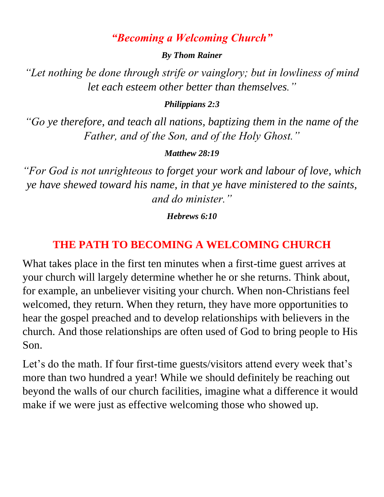#### *"Becoming a Welcoming Church"*

#### *By Thom Rainer*

*"Let nothing be done through strife or vainglory; but in lowliness of mind let each esteem other better than themselves."* 

#### *Philippians 2:3*

*"Go ye therefore, and teach all nations, baptizing them in the name of the Father, and of the Son, and of the Holy Ghost."* 

#### *Matthew 28:19*

*"For God is not unrighteous to forget your work and labour of love, which ye have shewed toward his name, in that ye have ministered to the saints, and do minister."* 

#### *Hebrews 6:10*

## **THE PATH TO BECOMING A WELCOMING CHURCH**

What takes place in the first ten minutes when a first-time guest arrives at your church will largely determine whether he or she returns. Think about, for example, an unbeliever visiting your church. When non-Christians feel welcomed, they return. When they return, they have more opportunities to hear the gospel preached and to develop relationships with believers in the church. And those relationships are often used of God to bring people to His Son.

Let's do the math. If four first-time guests/visitors attend every week that's more than two hundred a year! While we should definitely be reaching out beyond the walls of our church facilities, imagine what a difference it would make if we were just as effective welcoming those who showed up.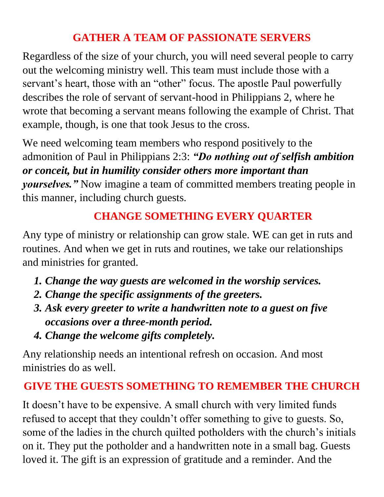# **GATHER A TEAM OF PASSIONATE SERVERS**

Regardless of the size of your church, you will need several people to carry out the welcoming ministry well. This team must include those with a servant's heart, those with an "other" focus. The apostle Paul powerfully describes the role of servant of servant-hood in Philippians 2, where he wrote that becoming a servant means following the example of Christ. That example, though, is one that took Jesus to the cross.

We need welcoming team members who respond positively to the admonition of Paul in Philippians 2:3: *"Do nothing out of selfish ambition or conceit, but in humility consider others more important than yourselves."* Now imagine a team of committed members treating people in this manner, including church guests.

# **CHANGE SOMETHING EVERY QUARTER**

Any type of ministry or relationship can grow stale. WE can get in ruts and routines. And when we get in ruts and routines, we take our relationships and ministries for granted.

- *1. Change the way guests are welcomed in the worship services.*
- *2. Change the specific assignments of the greeters.*
- *3. Ask every greeter to write a handwritten note to a guest on five occasions over a three-month period.*
- *4. Change the welcome gifts completely.*

Any relationship needs an intentional refresh on occasion. And most ministries do as well.

## **GIVE THE GUESTS SOMETHING TO REMEMBER THE CHURCH**

It doesn't have to be expensive. A small church with very limited funds refused to accept that they couldn't offer something to give to guests. So, some of the ladies in the church quilted potholders with the church's initials on it. They put the potholder and a handwritten note in a small bag. Guests loved it. The gift is an expression of gratitude and a reminder. And the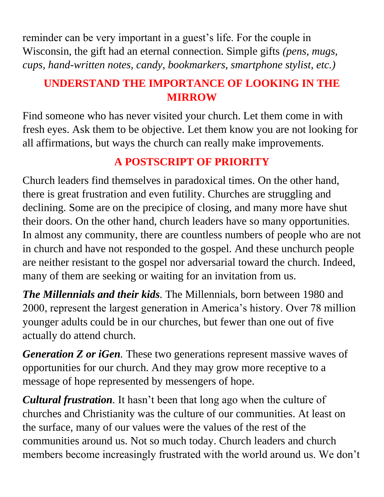reminder can be very important in a guest's life. For the couple in Wisconsin, the gift had an eternal connection. Simple gifts *(pens, mugs, cups, hand-written notes, candy, bookmarkers, smartphone stylist, etc.)*

### **UNDERSTAND THE IMPORTANCE OF LOOKING IN THE MIRROW**

Find someone who has never visited your church. Let them come in with fresh eyes. Ask them to be objective. Let them know you are not looking for all affirmations, but ways the church can really make improvements.

# **A POSTSCRIPT OF PRIORITY**

Church leaders find themselves in paradoxical times. On the other hand, there is great frustration and even futility. Churches are struggling and declining. Some are on the precipice of closing, and many more have shut their doors. On the other hand, church leaders have so many opportunities. In almost any community, there are countless numbers of people who are not in church and have not responded to the gospel. And these unchurch people are neither resistant to the gospel nor adversarial toward the church. Indeed, many of them are seeking or waiting for an invitation from us.

*The Millennials and their kids.* The Millennials, born between 1980 and 2000, represent the largest generation in America's history. Over 78 million younger adults could be in our churches, but fewer than one out of five actually do attend church.

*Generation Z or iGen.* These two generations represent massive waves of opportunities for our church. And they may grow more receptive to a message of hope represented by messengers of hope.

*Cultural frustration.* It hasn't been that long ago when the culture of churches and Christianity was the culture of our communities. At least on the surface, many of our values were the values of the rest of the communities around us. Not so much today. Church leaders and church members become increasingly frustrated with the world around us. We don't